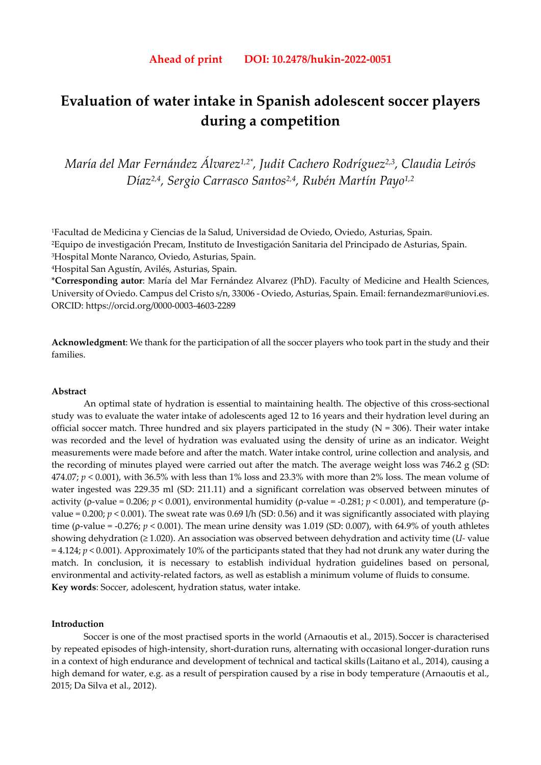# **Evaluation of water intake in Spanish adolescent soccer players during a competition**

*María del Mar Fernández Álvarez1,2\*, Judit Cachero Rodríguez2,3, Claudia Leirós Díaz2,4, Sergio Carrasco Santos2,4, Rubén Martín Payo1,2*

1Facultad de Medicina y Ciencias de la Salud, Universidad de Oviedo, Oviedo, Asturias, Spain. 2Equipo de investigación Precam, Instituto de Investigación Sanitaria del Principado de Asturias, Spain. 3Hospital Monte Naranco, Oviedo, Asturias, Spain.

4Hospital San Agustín, Avilés, Asturias, Spain.

\***Corresponding autor**: María del Mar Fernández Alvarez (PhD). Faculty of Medicine and Health Sciences, University of Oviedo. Campus del Cristo s/n, 33006 - Oviedo, Asturias, Spain. Email: fernandezmar@uniovi.es. ORCID: https://orcid.org/0000-0003-4603-2289

**Acknowledgment**: We thank for the participation of all the soccer players who took part in the study and their families.

# **Abstract**

An optimal state of hydration is essential to maintaining health. The objective of this cross-sectional study was to evaluate the water intake of adolescents aged 12 to 16 years and their hydration level during an official soccer match. Three hundred and six players participated in the study ( $N = 306$ ). Their water intake was recorded and the level of hydration was evaluated using the density of urine as an indicator. Weight measurements were made before and after the match. Water intake control, urine collection and analysis, and the recording of minutes played were carried out after the match. The average weight loss was 746.2 g (SD: 474.07;  $p < 0.001$ ), with 36.5% with less than 1% loss and 23.3% with more than 2% loss. The mean volume of water ingested was 229.35 ml (SD: 211.11) and a significant correlation was observed between minutes of activity (ρ-value = 0.206; *p* < 0.001), environmental humidity (ρ-value = -0.281; *p* < 0.001), and temperature (ρvalue =  $0.200$ ;  $p < 0.001$ ). The sweat rate was  $0.69$  l/h (SD: 0.56) and it was significantly associated with playing time (*ρ*-value =  $-0.276$ ; *p* < 0.001). The mean urine density was 1.019 (SD: 0.007), with 64.9% of youth athletes showing dehydration (≥ 1.020). An association was observed between dehydration and activity time (*U-* value = 4.124; *p* < 0.001). Approximately 10% of the participants stated that they had not drunk any water during the match. In conclusion, it is necessary to establish individual hydration guidelines based on personal, environmental and activity-related factors, as well as establish a minimum volume of fluids to consume. **Key words**: Soccer, adolescent, hydration status, water intake.

### **Introduction**

Soccer is one of the most practised sports in the world (Arnaoutis et al., 2015). Soccer is characterised by repeated episodes of high-intensity, short-duration runs, alternating with occasional longer-duration runs in a context of high endurance and development of technical and tactical skills (Laitano et al., 2014), causing a high demand for water, e.g. as a result of perspiration caused by a rise in body temperature (Arnaoutis et al., 2015; Da Silva et al., 2012).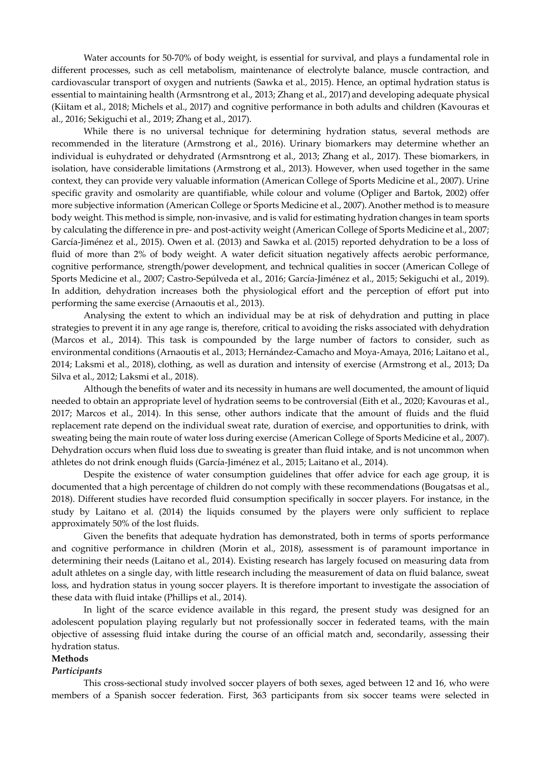Water accounts for 50-70% of body weight, is essential for survival, and plays a fundamental role in different processes, such as cell metabolism, maintenance of electrolyte balance, muscle contraction, and cardiovascular transport of oxygen and nutrients (Sawka et al., 2015). Hence, an optimal hydration status is essential to maintaining health (Armsntrong et al., 2013; Zhang et al., 2017) and developing adequate physical (Kiitam et al., 2018; Michels et al., 2017) and cognitive performance in both adults and children (Kavouras et al., 2016; Sekiguchi et al., 2019; Zhang et al., 2017).

While there is no universal technique for determining hydration status, several methods are recommended in the literature (Armstrong et al., 2016). Urinary biomarkers may determine whether an individual is euhydrated or dehydrated (Armsntrong et al., 2013; Zhang et al., 2017). These biomarkers, in isolation, have considerable limitations (Armstrong et al., 2013). However, when used together in the same context, they can provide very valuable information (American College of Sports Medicine et al., 2007). Urine specific gravity and osmolarity are quantifiable, while colour and volume (Opliger and Bartok, 2002) offer more subjective information (American College or Sports Medicine et al., 2007).Another method is to measure body weight. This method is simple, non-invasive, and is valid for estimating hydration changes in team sports by calculating the difference in pre- and post-activity weight (American College of Sports Medicine et al., 2007; García-Jiménez et al., 2015). Owen et al. (2013) and Sawka et al. (2015) reported dehydration to be a loss of fluid of more than 2% of body weight. A water deficit situation negatively affects aerobic performance, cognitive performance, strength/power development, and technical qualities in soccer (American College of Sports Medicine et al., 2007; Castro-Sepúlveda et al., 2016; García-Jiménez et al., 2015; Sekiguchi et al., 2019). In addition, dehydration increases both the physiological effort and the perception of effort put into performing the same exercise (Arnaoutis et al., 2013).

Analysing the extent to which an individual may be at risk of dehydration and putting in place strategies to prevent it in any age range is, therefore, critical to avoiding the risks associated with dehydration (Marcos et al., 2014). This task is compounded by the large number of factors to consider, such as environmental conditions (Arnaoutis et al., 2013; Hernández-Camacho and Moya-Amaya, 2016; Laitano et al., 2014; Laksmi et al., 2018), clothing, as well as duration and intensity of exercise (Armstrong et al., 2013; Da Silva et al., 2012; Laksmi et al., 2018).

Although the benefits of water and its necessity in humans are well documented, the amount of liquid needed to obtain an appropriate level of hydration seems to be controversial (Eith et al., 2020; Kavouras et al., 2017; Marcos et al., 2014). In this sense, other authors indicate that the amount of fluids and the fluid replacement rate depend on the individual sweat rate, duration of exercise, and opportunities to drink, with sweating being the main route of water loss during exercise (American College of Sports Medicine et al., 2007). Dehydration occurs when fluid loss due to sweating is greater than fluid intake, and is not uncommon when athletes do not drink enough fluids (García-Jiménez et al., 2015; Laitano et al., 2014).

Despite the existence of water consumption guidelines that offer advice for each age group, it is documented that a high percentage of children do not comply with these recommendations (Bougatsas et al., 2018). Different studies have recorded fluid consumption specifically in soccer players. For instance, in the study by Laitano et al. (2014) the liquids consumed by the players were only sufficient to replace approximately 50% of the lost fluids.

Given the benefits that adequate hydration has demonstrated, both in terms of sports performance and cognitive performance in children (Morin et al., 2018), assessment is of paramount importance in determining their needs (Laitano et al., 2014). Existing research has largely focused on measuring data from adult athletes on a single day, with little research including the measurement of data on fluid balance, sweat loss, and hydration status in young soccer players. It is therefore important to investigate the association of these data with fluid intake (Phillips et al., 2014).

In light of the scarce evidence available in this regard, the present study was designed for an adolescent population playing regularly but not professionally soccer in federated teams, with the main objective of assessing fluid intake during the course of an official match and, secondarily, assessing their hydration status.

# **Methods**

### *Participants*

This cross-sectional study involved soccer players of both sexes, aged between 12 and 16, who were members of a Spanish soccer federation. First, 363 participants from six soccer teams were selected in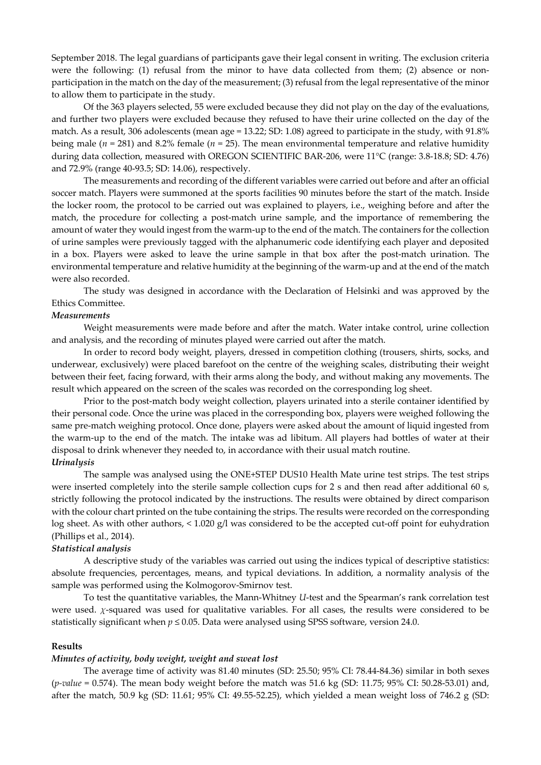September 2018. The legal guardians of participants gave their legal consent in writing. The exclusion criteria were the following: (1) refusal from the minor to have data collected from them; (2) absence or nonparticipation in the match on the day of the measurement; (3) refusal from the legal representative of the minor to allow them to participate in the study.

Of the 363 players selected, 55 were excluded because they did not play on the day of the evaluations, and further two players were excluded because they refused to have their urine collected on the day of the match. As a result, 306 adolescents (mean age = 13.22; SD: 1.08) agreed to participate in the study, with 91.8% being male ( $n = 281$ ) and 8.2% female ( $n = 25$ ). The mean environmental temperature and relative humidity during data collection, measured with OREGON SCIENTIFIC BAR-206, were 11°C (range: 3.8-18.8; SD: 4.76) and 72.9% (range 40-93.5; SD: 14.06), respectively.

The measurements and recording of the different variables were carried out before and after an official soccer match. Players were summoned at the sports facilities 90 minutes before the start of the match. Inside the locker room, the protocol to be carried out was explained to players, i.e., weighing before and after the match, the procedure for collecting a post-match urine sample, and the importance of remembering the amount of water they would ingest from the warm-up to the end of the match. The containers for the collection of urine samples were previously tagged with the alphanumeric code identifying each player and deposited in a box. Players were asked to leave the urine sample in that box after the post-match urination. The environmental temperature and relative humidity at the beginning of the warm-up and at the end of the match were also recorded.

The study was designed in accordance with the Declaration of Helsinki and was approved by the Ethics Committee.

#### *Measurements*

Weight measurements were made before and after the match. Water intake control, urine collection and analysis, and the recording of minutes played were carried out after the match.

In order to record body weight, players, dressed in competition clothing (trousers, shirts, socks, and underwear, exclusively) were placed barefoot on the centre of the weighing scales, distributing their weight between their feet, facing forward, with their arms along the body, and without making any movements. The result which appeared on the screen of the scales was recorded on the corresponding log sheet.

Prior to the post-match body weight collection, players urinated into a sterile container identified by their personal code. Once the urine was placed in the corresponding box, players were weighed following the same pre-match weighing protocol. Once done, players were asked about the amount of liquid ingested from the warm-up to the end of the match. The intake was ad libitum. All players had bottles of water at their disposal to drink whenever they needed to, in accordance with their usual match routine. *Urinalysis*

The sample was analysed using the ONE+STEP DUS10 Health Mate urine test strips. The test strips were inserted completely into the sterile sample collection cups for 2 s and then read after additional 60 s, strictly following the protocol indicated by the instructions. The results were obtained by direct comparison with the colour chart printed on the tube containing the strips. The results were recorded on the corresponding log sheet. As with other authors, < 1.020 g/l was considered to be the accepted cut-off point for euhydration (Phillips et al., 2014).

#### *Statistical analysis*

A descriptive study of the variables was carried out using the indices typical of descriptive statistics: absolute frequencies, percentages, means, and typical deviations. In addition, a normality analysis of the sample was performed using the Kolmogorov-Smirnov test.

To test the quantitative variables, the Mann-Whitney *U*-test and the Spearman's rank correlation test were used. *χ*-squared was used for qualitative variables. For all cases, the results were considered to be statistically significant when *p* ≤ 0.05. Data were analysed using SPSS software, version 24.0.

### **Results**

# *Minutes of activity, body weight, weight and sweat lost*

The average time of activity was 81.40 minutes (SD: 25.50; 95% CI: 78.44-84.36) similar in both sexes (*p-value* = 0.574). The mean body weight before the match was 51.6 kg (SD: 11.75; 95% CI: 50.28-53.01) and, after the match, 50.9 kg (SD: 11.61; 95% CI: 49.55-52.25), which yielded a mean weight loss of 746.2 g (SD: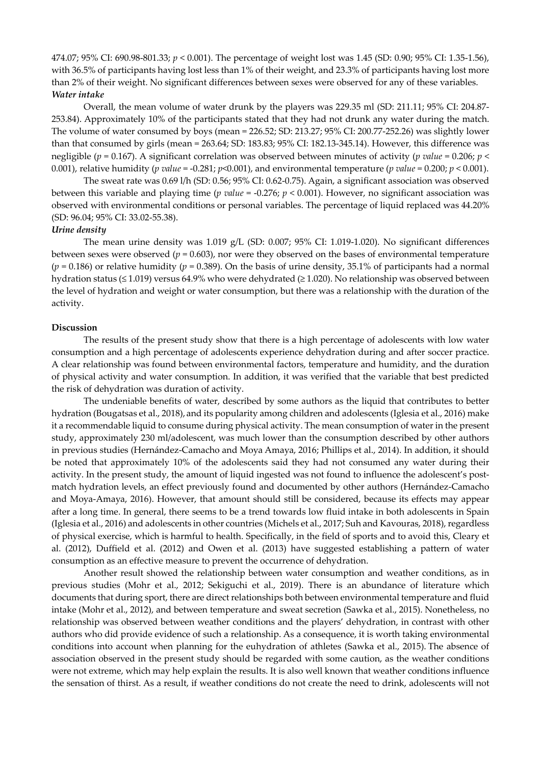474.07; 95% CI: 690.98-801.33; *p* < 0.001). The percentage of weight lost was 1.45 (SD: 0.90; 95% CI: 1.35-1.56), with 36.5% of participants having lost less than 1% of their weight, and 23.3% of participants having lost more than 2% of their weight. No significant differences between sexes were observed for any of these variables. *Water intake*

Overall, the mean volume of water drunk by the players was 229.35 ml (SD: 211.11; 95% CI: 204.87- 253.84). Approximately 10% of the participants stated that they had not drunk any water during the match. The volume of water consumed by boys (mean = 226.52; SD: 213.27; 95% CI: 200.77-252.26) was slightly lower than that consumed by girls (mean = 263.64; SD: 183.83; 95% CI: 182.13-345.14). However, this difference was negligible (*p* = 0.167). A significant correlation was observed between minutes of activity (*p value* = 0.206; *p* < 0.001), relative humidity (*p value* = -0.281;  $p$ <0.001), and environmental temperature (*p value* = 0.200;  $p$  < 0.001).

The sweat rate was 0.69 l/h (SD: 0.56; 95% CI: 0.62-0.75). Again, a significant association was observed between this variable and playing time (*p value* = -0.276; *p* < 0.001). However, no significant association was observed with environmental conditions or personal variables. The percentage of liquid replaced was 44.20% (SD: 96.04; 95% CI: 33.02-55.38).

#### *Urine density*

The mean urine density was 1.019 g/L (SD: 0.007; 95% CI: 1.019-1.020). No significant differences between sexes were observed (*p* = 0.603), nor were they observed on the bases of environmental temperature  $(p = 0.186)$  or relative humidity  $(p = 0.389)$ . On the basis of urine density, 35.1% of participants had a normal hydration status (≤ 1.019) versus 64.9% who were dehydrated (≥ 1.020). No relationship was observed between the level of hydration and weight or water consumption, but there was a relationship with the duration of the activity.

## **Discussion**

The results of the present study show that there is a high percentage of adolescents with low water consumption and a high percentage of adolescents experience dehydration during and after soccer practice. A clear relationship was found between environmental factors, temperature and humidity, and the duration of physical activity and water consumption. In addition, it was verified that the variable that best predicted the risk of dehydration was duration of activity.

The undeniable benefits of water, described by some authors as the liquid that contributes to better hydration (Bougatsas et al., 2018), and its popularity among children and adolescents (Iglesia et al., 2016) make it a recommendable liquid to consume during physical activity. The mean consumption of water in the present study, approximately 230 ml/adolescent, was much lower than the consumption described by other authors in previous studies (Hernández-Camacho and Moya Amaya, 2016; Phillips et al., 2014). In addition, it should be noted that approximately 10% of the adolescents said they had not consumed any water during their activity. In the present study, the amount of liquid ingested was not found to influence the adolescent's postmatch hydration levels, an effect previously found and documented by other authors (Hernández-Camacho and Moya-Amaya, 2016). However, that amount should still be considered, because its effects may appear after a long time. In general, there seems to be a trend towards low fluid intake in both adolescents in Spain (Iglesia et al., 2016) and adolescents in other countries (Michels et al., 2017; Suh and Kavouras, 2018), regardless of physical exercise, which is harmful to health. Specifically, in the field of sports and to avoid this, Cleary et al. (2012), Duffield et al. (2012) and Owen et al. (2013) have suggested establishing a pattern of water consumption as an effective measure to prevent the occurrence of dehydration.

Another result showed the relationship between water consumption and weather conditions, as in previous studies (Mohr et al., 2012; Sekiguchi et al., 2019). There is an abundance of literature which documents that during sport, there are direct relationships both between environmental temperature and fluid intake (Mohr et al., 2012), and between temperature and sweat secretion (Sawka et al., 2015). Nonetheless, no relationship was observed between weather conditions and the players' dehydration, in contrast with other authors who did provide evidence of such a relationship. As a consequence, it is worth taking environmental conditions into account when planning for the euhydration of athletes (Sawka et al., 2015). The absence of association observed in the present study should be regarded with some caution, as the weather conditions were not extreme, which may help explain the results. It is also well known that weather conditions influence the sensation of thirst. As a result, if weather conditions do not create the need to drink, adolescents will not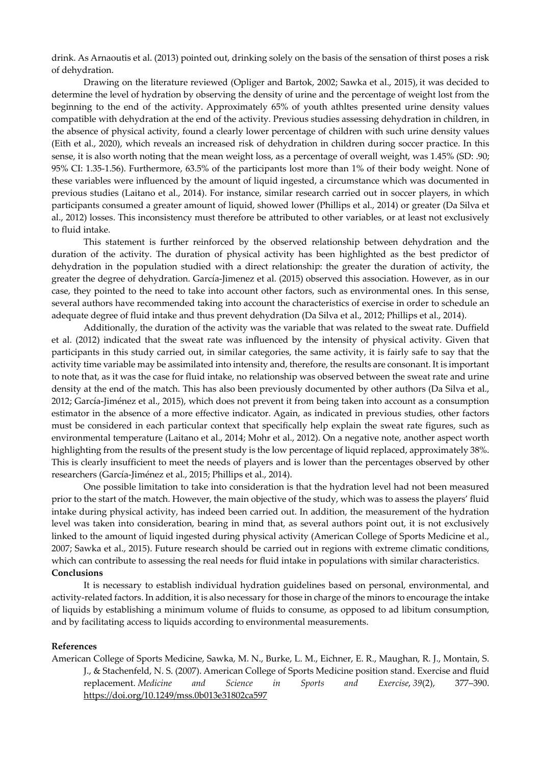drink. As Arnaoutis et al. (2013) pointed out, drinking solely on the basis of the sensation of thirst poses a risk of dehydration.

Drawing on the literature reviewed (Opliger and Bartok, 2002; Sawka et al., 2015), it was decided to determine the level of hydration by observing the density of urine and the percentage of weight lost from the beginning to the end of the activity. Approximately 65% of youth athltes presented urine density values compatible with dehydration at the end of the activity. Previous studies assessing dehydration in children, in the absence of physical activity, found a clearly lower percentage of children with such urine density values (Eith et al., 2020), which reveals an increased risk of dehydration in children during soccer practice. In this sense, it is also worth noting that the mean weight loss, as a percentage of overall weight, was 1.45% (SD: .90; 95% CI: 1.35-1.56). Furthermore, 63.5% of the participants lost more than 1% of their body weight. None of these variables were influenced by the amount of liquid ingested, a circumstance which was documented in previous studies (Laitano et al., 2014). For instance, similar research carried out in soccer players, in which participants consumed a greater amount of liquid, showed lower (Phillips et al., 2014) or greater (Da Silva et al., 2012) losses. This inconsistency must therefore be attributed to other variables, or at least not exclusively to fluid intake.

This statement is further reinforced by the observed relationship between dehydration and the duration of the activity. The duration of physical activity has been highlighted as the best predictor of dehydration in the population studied with a direct relationship: the greater the duration of activity, the greater the degree of dehydration. García-Jimenez et al. (2015) observed this association. However, as in our case, they pointed to the need to take into account other factors, such as environmental ones. In this sense, several authors have recommended taking into account the characteristics of exercise in order to schedule an adequate degree of fluid intake and thus prevent dehydration (Da Silva et al., 2012; Phillips et al., 2014).

Additionally, the duration of the activity was the variable that was related to the sweat rate. Duffield et al. (2012) indicated that the sweat rate was influenced by the intensity of physical activity. Given that participants in this study carried out, in similar categories, the same activity, it is fairly safe to say that the activity time variable may be assimilated into intensity and, therefore, the results are consonant. It is important to note that, as it was the case for fluid intake, no relationship was observed between the sweat rate and urine density at the end of the match. This has also been previously documented by other authors (Da Silva et al., 2012; García-Jiménez et al., 2015), which does not prevent it from being taken into account as a consumption estimator in the absence of a more effective indicator. Again, as indicated in previous studies, other factors must be considered in each particular context that specifically help explain the sweat rate figures, such as environmental temperature (Laitano et al., 2014; Mohr et al., 2012). On a negative note, another aspect worth highlighting from the results of the present study is the low percentage of liquid replaced, approximately 38%. This is clearly insufficient to meet the needs of players and is lower than the percentages observed by other researchers (García-Jiménez et al., 2015; Phillips et al., 2014).

One possible limitation to take into consideration is that the hydration level had not been measured prior to the start of the match. However, the main objective of the study, which was to assess the players' fluid intake during physical activity, has indeed been carried out. In addition, the measurement of the hydration level was taken into consideration, bearing in mind that, as several authors point out, it is not exclusively linked to the amount of liquid ingested during physical activity (American College of Sports Medicine et al., 2007; Sawka et al., 2015). Future research should be carried out in regions with extreme climatic conditions, which can contribute to assessing the real needs for fluid intake in populations with similar characteristics. **Conclusions**

It is necessary to establish individual hydration guidelines based on personal, environmental, and activity-related factors. In addition, it is also necessary for those in charge of the minors to encourage the intake of liquids by establishing a minimum volume of fluids to consume, as opposed to ad libitum consumption, and by facilitating access to liquids according to environmental measurements.

### **References**

American College of Sports Medicine, Sawka, M. N., Burke, L. M., Eichner, E. R., Maughan, R. J., Montain, S. J., & Stachenfeld, N. S. (2007). American College of Sports Medicine position stand. Exercise and fluid replacement. *Medicine and Science in Sports and Exercise*, *39*(2), 377–390. https://doi.org/10.1249/mss.0b013e31802ca597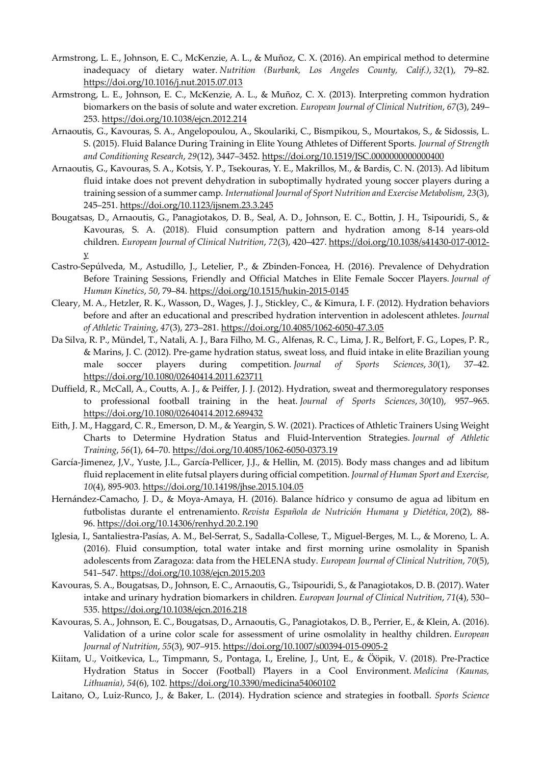- Armstrong, L. E., Johnson, E. C., McKenzie, A. L., & Muñoz, C. X. (2016). An empirical method to determine inadequacy of dietary water. *Nutrition (Burbank, Los Angeles County, Calif.)*, *32*(1), 79–82. https://doi.org/10.1016/j.nut.2015.07.013
- Armstrong, L. E., Johnson, E. C., McKenzie, A. L., & Muñoz, C. X. (2013). Interpreting common hydration biomarkers on the basis of solute and water excretion. *European Journal of Clinical Nutrition*, *67*(3), 249– 253. https://doi.org/10.1038/ejcn.2012.214
- Arnaoutis, G., Kavouras, S. A., Angelopoulou, A., Skoulariki, C., Bismpikou, S., Mourtakos, S., & Sidossis, L. S. (2015). Fluid Balance During Training in Elite Young Athletes of Different Sports. *Journal of Strength and Conditioning Research*, *29*(12), 3447–3452. https://doi.org/10.1519/JSC.0000000000000400
- Arnaoutis, G., Kavouras, S. A., Kotsis, Y. P., Tsekouras, Y. E., Makrillos, M., & Bardis, C. N. (2013). Ad libitum fluid intake does not prevent dehydration in suboptimally hydrated young soccer players during a training session of a summer camp. *International Journal of Sport Nutrition and Exercise Metabolism*, *23*(3), 245–251. https://doi.org/10.1123/ijsnem.23.3.245
- Bougatsas, D., Arnaoutis, G., Panagiotakos, D. B., Seal, A. D., Johnson, E. C., Bottin, J. H., Tsipouridi, S., & Kavouras, S. A. (2018). Fluid consumption pattern and hydration among 8-14 years-old children. *European Journal of Clinical Nutrition*, *72*(3), 420–427. https://doi.org/10.1038/s41430-017-0012 y
- Castro-Sepúlveda, M., Astudillo, J., Letelier, P., & Zbinden-Foncea, H. (2016). Prevalence of Dehydration Before Training Sessions, Friendly and Official Matches in Elite Female Soccer Players. *Journal of Human Kinetics*, *50*, 79–84. https://doi.org/10.1515/hukin-2015-0145
- Cleary, M. A., Hetzler, R. K., Wasson, D., Wages, J. J., Stickley, C., & Kimura, I. F. (2012). Hydration behaviors before and after an educational and prescribed hydration intervention in adolescent athletes. *Journal of Athletic Training*, *47*(3), 273–281. https://doi.org/10.4085/1062-6050-47.3.05
- Da Silva, R. P., Mündel, T., Natali, A. J., Bara Filho, M. G., Alfenas, R. C., Lima, J. R., Belfort, F. G., Lopes, P. R., & Marins, J. C. (2012). Pre-game hydration status, sweat loss, and fluid intake in elite Brazilian young male soccer players during competition. *Journal of Sports Sciences*, *30*(1), 37–42. https://doi.org/10.1080/02640414.2011.623711
- Duffield, R., McCall, A., Coutts, A. J., & Peiffer, J. J. (2012). Hydration, sweat and thermoregulatory responses to professional football training in the heat. *Journal of Sports Sciences*, *30*(10), 957–965. https://doi.org/10.1080/02640414.2012.689432
- Eith, J. M., Haggard, C. R., Emerson, D. M., & Yeargin, S. W. (2021). Practices of Athletic Trainers Using Weight Charts to Determine Hydration Status and Fluid-Intervention Strategies. *Journal of Athletic Training*, *56*(1), 64–70. https://doi.org/10.4085/1062-6050-0373.19
- García-Jimenez, J,V., Yuste, J.L., García-Pellicer, J.J., & Hellin, M. (2015). Body mass changes and ad libitum fluid replacement in elite futsal players during official competition. *Journal of Human Sport and Exercise, 10*(4), 895-903. https://doi.org/10.14198/jhse.2015.104.05
- Hernández-Camacho, J. D., & Moya-Amaya, H. (2016). Balance hídrico y consumo de agua ad libitum en futbolistas durante el entrenamiento. *Revista Española de Nutrición Humana y Dietética*, *20*(2), 88- 96. https://doi.org/10.14306/renhyd.20.2.190
- Iglesia, I., Santaliestra-Pasías, A. M., Bel-Serrat, S., Sadalla-Collese, T., Miguel-Berges, M. L., & Moreno, L. A. (2016). Fluid consumption, total water intake and first morning urine osmolality in Spanish adolescents from Zaragoza: data from the HELENA study. *European Journal of Clinical Nutrition*, *70*(5), 541–547. https://doi.org/10.1038/ejcn.2015.203
- Kavouras, S. A., Bougatsas, D., Johnson, E. C., Arnaoutis, G., Tsipouridi, S., & Panagiotakos, D. B. (2017). Water intake and urinary hydration biomarkers in children. *European Journal of Clinical Nutrition*, *71*(4), 530– 535. https://doi.org/10.1038/ejcn.2016.218
- Kavouras, S. A., Johnson, E. C., Bougatsas, D., Arnaoutis, G., Panagiotakos, D. B., Perrier, E., & Klein, A. (2016). Validation of a urine color scale for assessment of urine osmolality in healthy children. *European Journal of Nutrition*, *55*(3), 907–915. https://doi.org/10.1007/s00394-015-0905-2
- Kiitam, U., Voitkevica, L., Timpmann, S., Pontaga, I., Ereline, J., Unt, E., & Ööpik, V. (2018). Pre-Practice Hydration Status in Soccer (Football) Players in a Cool Environment. *Medicina (Kaunas, Lithuania)*, *54*(6), 102. https://doi.org/10.3390/medicina54060102
- Laitano, O., Luiz-Runco, J., & Baker, L. (2014). Hydration science and strategies in football. *Sports Science*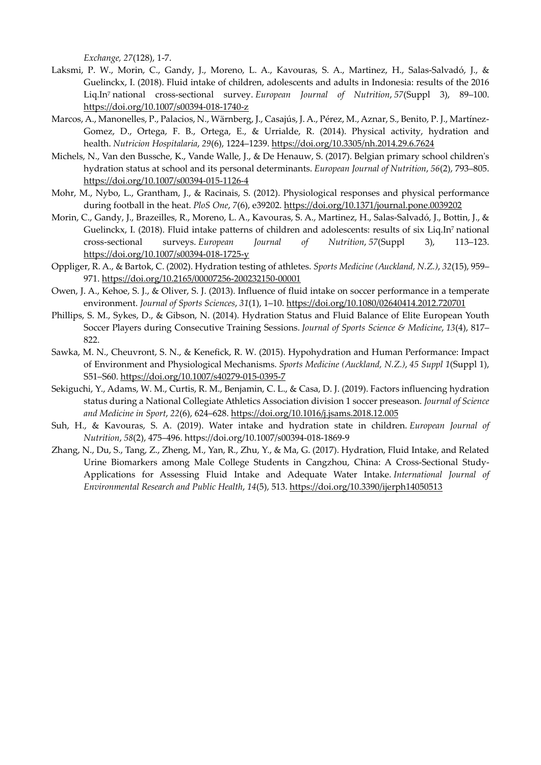*Exchange, 27*(128), 1-7.

- Laksmi, P. W., Morin, C., Gandy, J., Moreno, L. A., Kavouras, S. A., Martinez, H., Salas-Salvadó, J., & Guelinckx, I. (2018). Fluid intake of children, adolescents and adults in Indonesia: results of the 2016 Liq.In7 national cross-sectional survey. *European Journal of Nutrition*, *57*(Suppl 3), 89–100. https://doi.org/10.1007/s00394-018-1740-z
- Marcos, A., Manonelles, P., Palacios, N., Wärnberg, J., Casajús, J. A., Pérez, M., Aznar, S., Benito, P. J., Martínez-Gomez, D., Ortega, F. B., Ortega, E., & Urrialde, R. (2014). Physical activity, hydration and health. *Nutricion Hospitalaria*, *29*(6), 1224–1239. https://doi.org/10.3305/nh.2014.29.6.7624
- Michels, N., Van den Bussche, K., Vande Walle, J., & De Henauw, S. (2017). Belgian primary school children's hydration status at school and its personal determinants. *European Journal of Nutrition*, *56*(2), 793–805. https://doi.org/10.1007/s00394-015-1126-4
- Mohr, M., Nybo, L., Grantham, J., & Racinais, S. (2012). Physiological responses and physical performance during football in the heat. *PloS One*, *7*(6), e39202. https://doi.org/10.1371/journal.pone.0039202
- Morin, C., Gandy, J., Brazeilles, R., Moreno, L. A., Kavouras, S. A., Martinez, H., Salas-Salvadó, J., Bottin, J., & Guelinckx, I. (2018). Fluid intake patterns of children and adolescents: results of six Liq.In7 national cross-sectional surveys. *European Journal of Nutrition*, *57*(Suppl 3), 113–123. https://doi.org/10.1007/s00394-018-1725-y
- Oppliger, R. A., & Bartok, C. (2002). Hydration testing of athletes. *Sports Medicine (Auckland, N.Z.)*, *32*(15), 959– 971. https://doi.org/10.2165/00007256-200232150-00001
- Owen, J. A., Kehoe, S. J., & Oliver, S. J. (2013). Influence of fluid intake on soccer performance in a temperate environment. *Journal of Sports Sciences*, *31*(1), 1–10. https://doi.org/10.1080/02640414.2012.720701
- Phillips, S. M., Sykes, D., & Gibson, N. (2014). Hydration Status and Fluid Balance of Elite European Youth Soccer Players during Consecutive Training Sessions. *Journal of Sports Science & Medicine*, *13*(4), 817– 822.
- Sawka, M. N., Cheuvront, S. N., & Kenefick, R. W. (2015). Hypohydration and Human Performance: Impact of Environment and Physiological Mechanisms. *Sports Medicine (Auckland, N.Z.)*, *45 Suppl 1*(Suppl 1), S51–S60. https://doi.org/10.1007/s40279-015-0395-7
- Sekiguchi, Y., Adams, W. M., Curtis, R. M., Benjamin, C. L., & Casa, D. J. (2019). Factors influencing hydration status during a National Collegiate Athletics Association division 1 soccer preseason. *Journal of Science and Medicine in Sport*, *22*(6), 624–628. https://doi.org/10.1016/j.jsams.2018.12.005
- Suh, H., & Kavouras, S. A. (2019). Water intake and hydration state in children. *European Journal of Nutrition*, *58*(2), 475–496. https://doi.org/10.1007/s00394-018-1869-9
- Zhang, N., Du, S., Tang, Z., Zheng, M., Yan, R., Zhu, Y., & Ma, G. (2017). Hydration, Fluid Intake, and Related Urine Biomarkers among Male College Students in Cangzhou, China: A Cross-Sectional Study-Applications for Assessing Fluid Intake and Adequate Water Intake. *International Journal of Environmental Research and Public Health*, *14*(5), 513. https://doi.org/10.3390/ijerph14050513